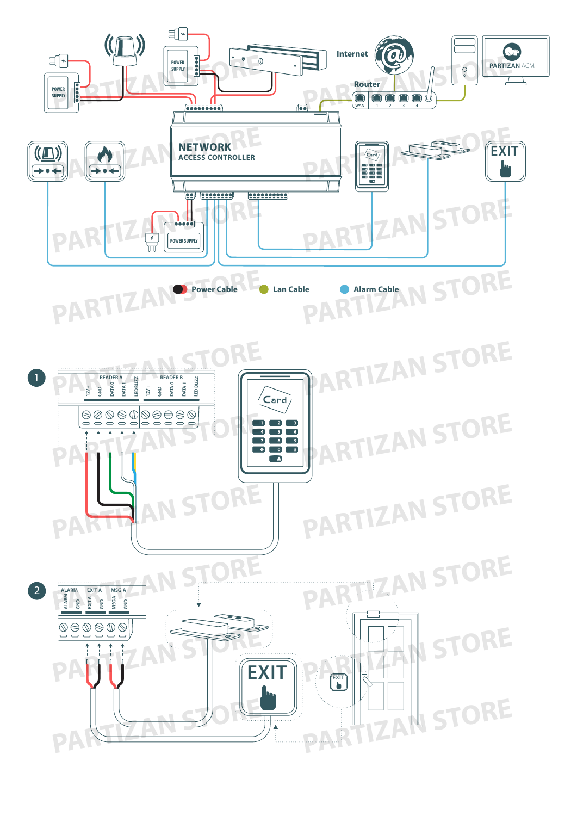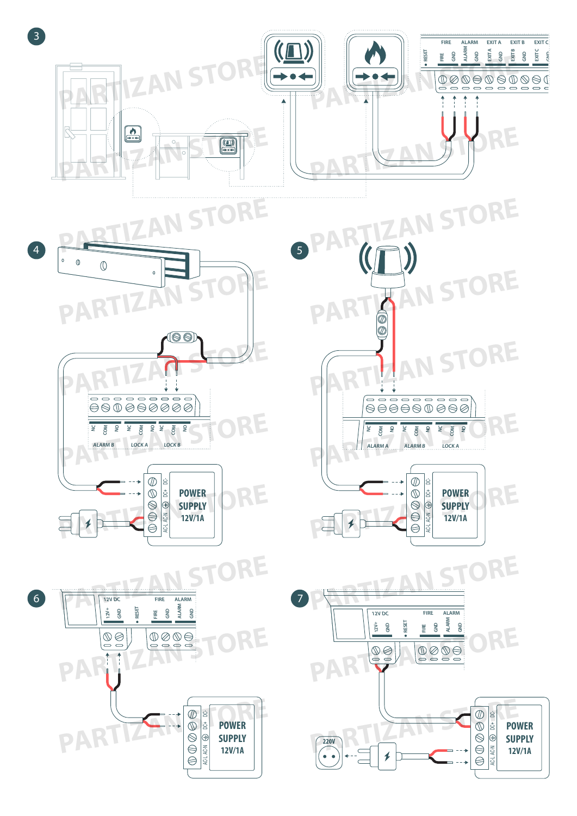